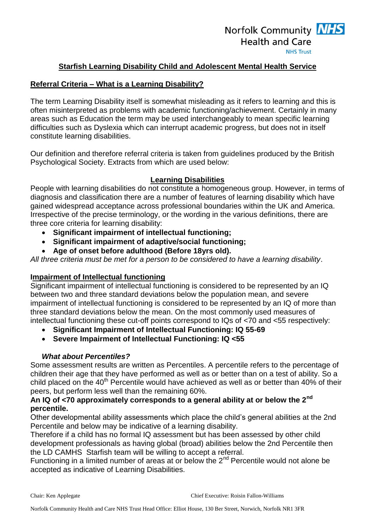# Norfolk Community **NHS Health and Care NHS Trust**

### **Starfish Learning Disability Child and Adolescent Mental Health Service**

### **Referral Criteria – What is a Learning Disability?**

The term Learning Disability itself is somewhat misleading as it refers to learning and this is often misinterpreted as problems with academic functioning/achievement. Certainly in many areas such as Education the term may be used interchangeably to mean specific learning difficulties such as Dyslexia which can interrupt academic progress, but does not in itself constitute learning disabilities.

Our definition and therefore referral criteria is taken from guidelines produced by the British Psychological Society. Extracts from which are used below:

#### **Learning Disabilities**

People with learning disabilities do not constitute a homogeneous group. However, in terms of diagnosis and classification there are a number of features of learning disability which have gained widespread acceptance across professional boundaries within the UK and America. Irrespective of the precise terminology, or the wording in the various definitions, there are three core criteria for learning disability:

- **Significant impairment of intellectual functioning;**
- **Significant impairment of adaptive/social functioning;**
- **Age of onset before adulthood (Before 18yrs old).**

*All three criteria must be met for a person to be considered to have a learning disability*.

# **Impairment of Intellectual functioning**

Significant impairment of intellectual functioning is considered to be represented by an IQ between two and three standard deviations below the population mean, and severe impairment of intellectual functioning is considered to be represented by an IQ of more than three standard deviations below the mean. On the most commonly used measures of intellectual functioning these cut-off points correspond to IQs of <70 and <55 respectively:

- **Significant Impairment of Intellectual Functioning: IQ 55-69**
- **Severe Impairment of Intellectual Functioning: IQ <55**

#### *What about Percentiles?*

Some assessment results are written as Percentiles. A percentile refers to the percentage of children their age that they have performed as well as or better than on a test of ability. So a child placed on the 40<sup>th</sup> Percentile would have achieved as well as or better than 40% of their peers, but perform less well than the remaining 60%.

### **An IQ of <70 approximately corresponds to a general ability at or below the 2nd percentile.**

Other developmental ability assessments which place the child's general abilities at the 2nd Percentile and below may be indicative of a learning disability.

Therefore if a child has no formal IQ assessment but has been assessed by other child development professionals as having global (broad) abilities below the 2nd Percentile then the LD CAMHS Starfish team will be willing to accept a referral.

Functioning in a limited number of areas at or below the  $2^{nd}$  Percentile would not alone be accepted as indicative of Learning Disabilities.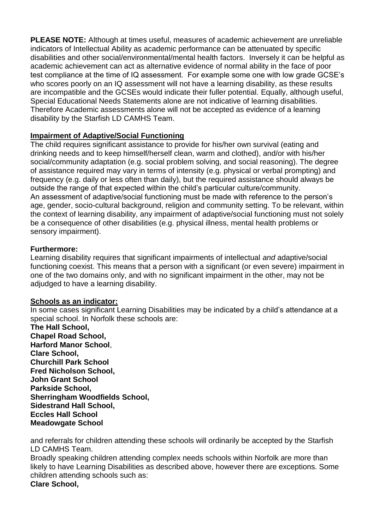**PLEASE NOTE:** Although at times useful, measures of academic achievement are unreliable indicators of Intellectual Ability as academic performance can be attenuated by specific disabilities and other social/environmental/mental health factors. Inversely it can be helpful as academic achievement can act as alternative evidence of normal ability in the face of poor test compliance at the time of IQ assessment. For example some one with low grade GCSE's who scores poorly on an IQ assessment will not have a learning disability, as these results are incompatible and the GCSEs would indicate their fuller potential. Equally, although useful, Special Educational Needs Statements alone are not indicative of learning disabilities. Therefore Academic assessments alone will not be accepted as evidence of a learning disability by the Starfish LD CAMHS Team.

# **Impairment of Adaptive/Social Functioning**

The child requires significant assistance to provide for his/her own survival (eating and drinking needs and to keep himself/herself clean, warm and clothed), and/or with his/her social/community adaptation (e.g. social problem solving, and social reasoning). The degree of assistance required may vary in terms of intensity (e.g. physical or verbal prompting) and frequency (e.g. daily or less often than daily), but the required assistance should always be outside the range of that expected within the child's particular culture/community. An assessment of adaptive/social functioning must be made with reference to the person's age, gender, socio-cultural background, religion and community setting. To be relevant, within the context of learning disability, any impairment of adaptive/social functioning must not solely be a consequence of other disabilities (e.g. physical illness, mental health problems or sensory impairment).

### **Furthermore:**

Learning disability requires that significant impairments of intellectual *and* adaptive/social functioning coexist. This means that a person with a significant (or even severe) impairment in one of the two domains only, and with no significant impairment in the other, may not be adjudged to have a learning disability.

# **Schools as an indicator:**

In some cases significant Learning Disabilities may be indicated by a child's attendance at a special school. In Norfolk these schools are:

**The Hall School, Chapel Road School, Harford Manor School**, **Clare School, Churchill Park School Fred Nicholson School, John Grant School Parkside School, Sherringham Woodfields School, Sidestrand Hall School, Eccles Hall School Meadowgate School**

and referrals for children attending these schools will ordinarily be accepted by the Starfish LD CAMHS Team.

Broadly speaking children attending complex needs schools within Norfolk are more than likely to have Learning Disabilities as described above, however there are exceptions. Some children attending schools such as:

#### **Clare School,**